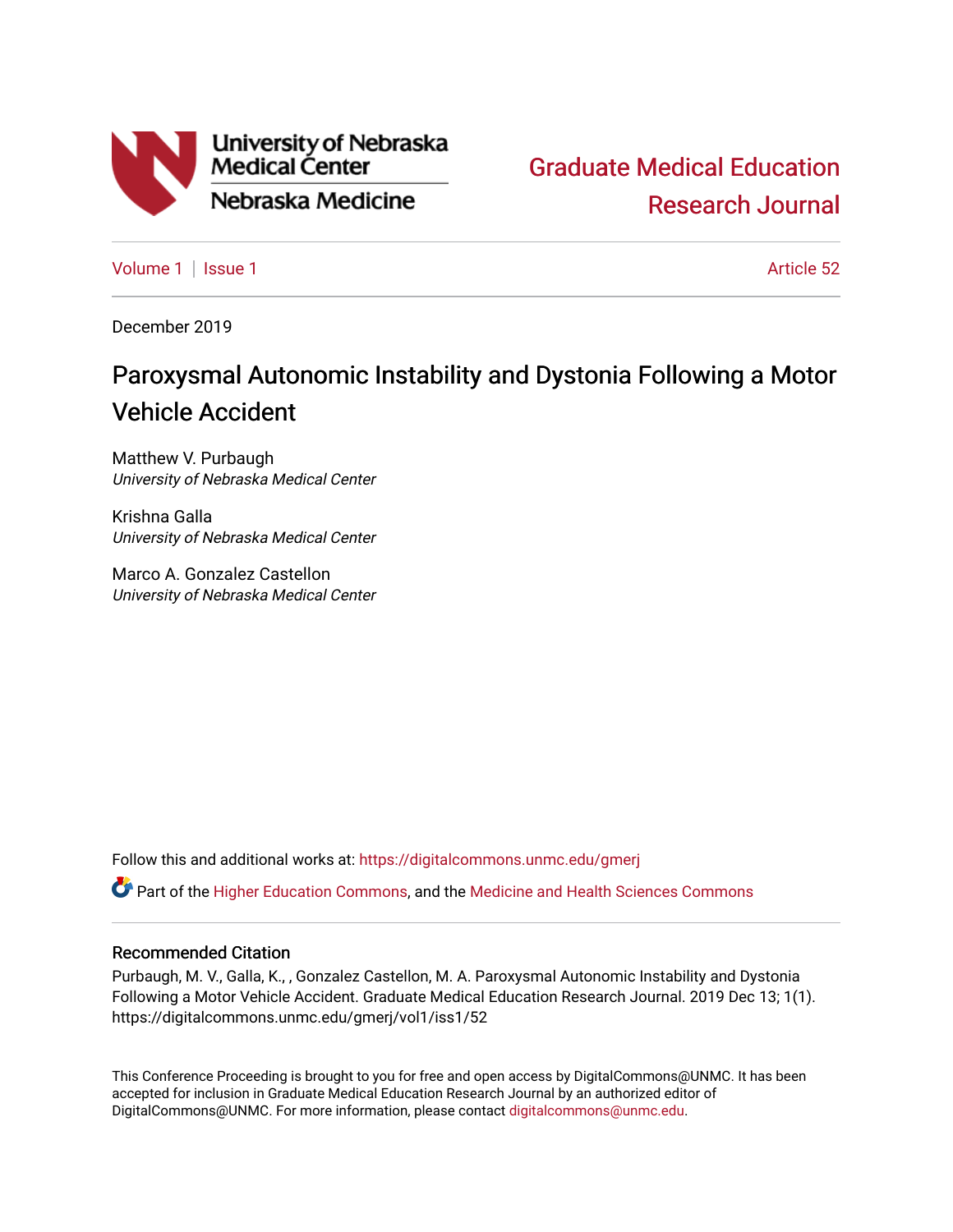

[Graduate Medical Education](https://digitalcommons.unmc.edu/gmerj)  [Research Journal](https://digitalcommons.unmc.edu/gmerj) 

[Volume 1](https://digitalcommons.unmc.edu/gmerj/vol1) | [Issue 1](https://digitalcommons.unmc.edu/gmerj/vol1/iss1) Article 52

December 2019

# Paroxysmal Autonomic Instability and Dystonia Following a Motor Vehicle Accident

Matthew V. Purbaugh University of Nebraska Medical Center

Krishna Galla University of Nebraska Medical Center

Marco A. Gonzalez Castellon University of Nebraska Medical Center

Follow this and additional works at: [https://digitalcommons.unmc.edu/gmerj](https://digitalcommons.unmc.edu/gmerj?utm_source=digitalcommons.unmc.edu%2Fgmerj%2Fvol1%2Fiss1%2F52&utm_medium=PDF&utm_campaign=PDFCoverPages) 

**C** Part of the [Higher Education Commons,](http://network.bepress.com/hgg/discipline/1245?utm_source=digitalcommons.unmc.edu%2Fgmerj%2Fvol1%2Fiss1%2F52&utm_medium=PDF&utm_campaign=PDFCoverPages) and the [Medicine and Health Sciences Commons](http://network.bepress.com/hgg/discipline/648?utm_source=digitalcommons.unmc.edu%2Fgmerj%2Fvol1%2Fiss1%2F52&utm_medium=PDF&utm_campaign=PDFCoverPages)

### Recommended Citation

Purbaugh, M. V., Galla, K., , Gonzalez Castellon, M. A. Paroxysmal Autonomic Instability and Dystonia Following a Motor Vehicle Accident. Graduate Medical Education Research Journal. 2019 Dec 13; 1(1). https://digitalcommons.unmc.edu/gmerj/vol1/iss1/52

This Conference Proceeding is brought to you for free and open access by DigitalCommons@UNMC. It has been accepted for inclusion in Graduate Medical Education Research Journal by an authorized editor of DigitalCommons@UNMC. For more information, please contact [digitalcommons@unmc.edu.](mailto:digitalcommons@unmc.edu)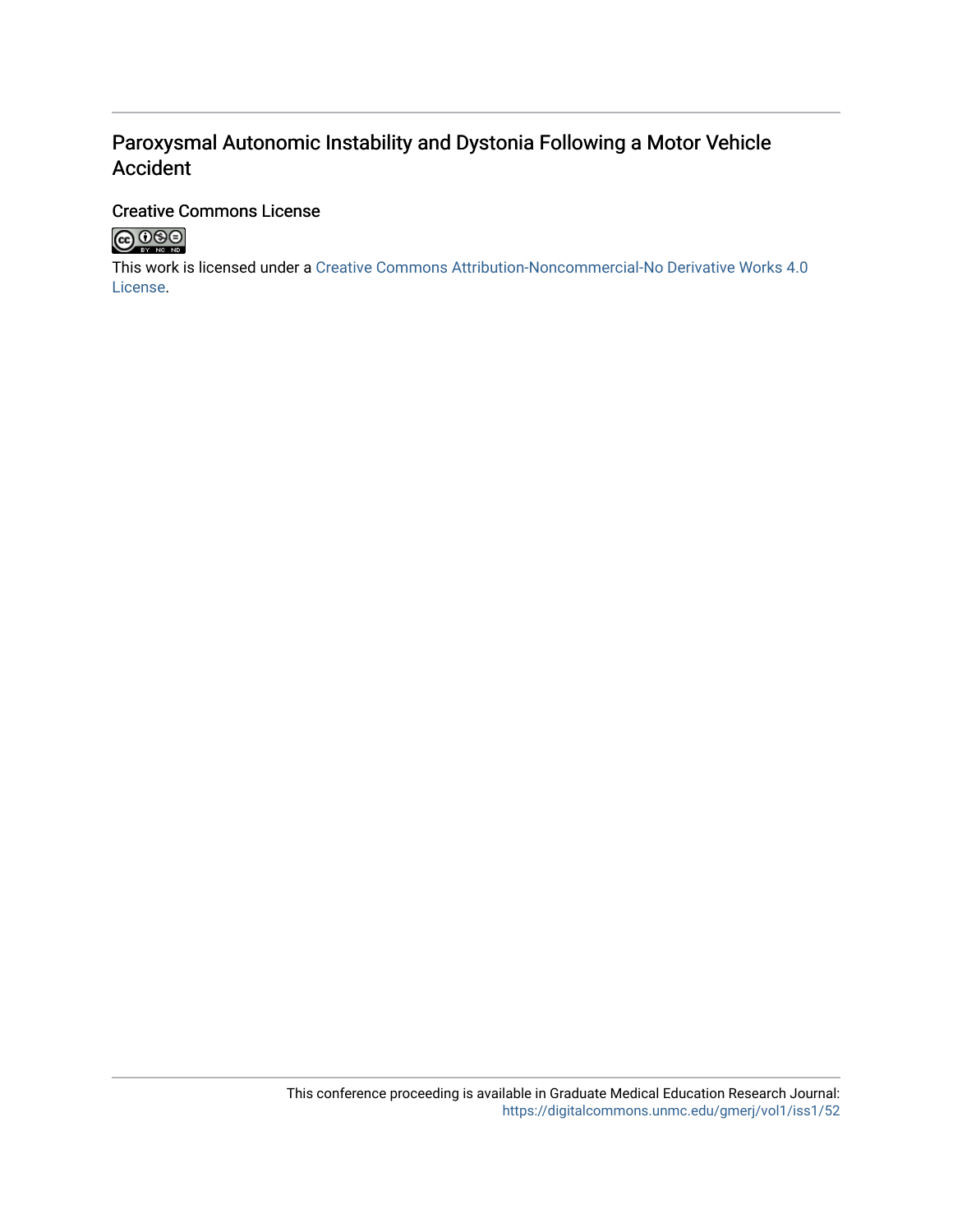# Paroxysmal Autonomic Instability and Dystonia Following a Motor Vehicle Accident

## Creative Commons License



This work is licensed under a [Creative Commons Attribution-Noncommercial-No Derivative Works 4.0](http://creativecommons.org/licenses/by-nc-nd/4.0/) [License](http://creativecommons.org/licenses/by-nc-nd/4.0/).